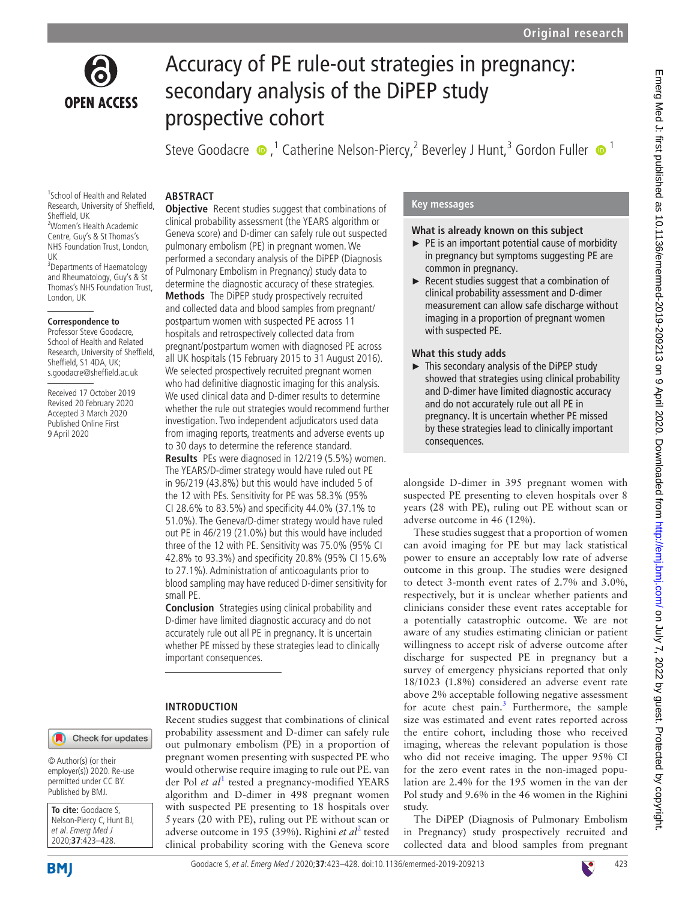

# Accuracy of PE rule-out strategies in pregnancy: secondary analysis of the DiPEP study prospective cohort

Steve Goodacre  $\bullet$ ,<sup>1</sup> Catherine Nelson-Piercy,<sup>2</sup> Beverley J Hunt,<sup>3</sup> Gordon Fuller  $\bullet$ <sup>1</sup>

#### **Abstract**

1 School of Health and Related Research, University of Sheffield, Sheffield, UK <sup>2</sup>Women's Health Academic Centre, Guy's & St Thomas's NHS Foundation Trust, London, UK

<sup>3</sup>Departments of Haematology and Rheumatology, Guy's & St Thomas's NHS Foundation Trust, London, UK

#### **Correspondence to**

Professor Steve Goodacre, School of Health and Related Research, University of Sheffield, Sheffield, S1 4DA, UK; s.goodacre@sheffield.ac.uk

Received 17 October 2019 Revised 20 February 2020 Accepted 3 March 2020 Published Online First 9 April 2020

**Objective** Recent studies suggest that combinations of clinical probability assessment (the YEARS algorithm or Geneva score) and D-dimer can safely rule out suspected pulmonary embolism (PE) in pregnant women. We performed a secondary analysis of the DiPEP (Diagnosis of Pulmonary Embolism in Pregnancy) study data to determine the diagnostic accuracy of these strategies.

**Methods** The DiPEP study prospectively recruited and collected data and blood samples from pregnant/ postpartum women with suspected PE across 11 hospitals and retrospectively collected data from pregnant/postpartum women with diagnosed PE across all UK hospitals (15 February 2015 to 31 August 2016). We selected prospectively recruited pregnant women who had definitive diagnostic imaging for this analysis. We used clinical data and D-dimer results to determine whether the rule out strategies would recommend further investigation. Two independent adjudicators used data from imaging reports, treatments and adverse events up to 30 days to determine the reference standard.

**Results** PEs were diagnosed in 12/219 (5.5%) women. The YEARS/D-dimer strategy would have ruled out PE in 96/219 (43.8%) but this would have included 5 of the 12 with PEs. Sensitivity for PE was 58.3% (95% CI 28.6% to 83.5%) and specificity 44.0% (37.1% to 51.0%). The Geneva/D-dimer strategy would have ruled out PE in 46/219 (21.0%) but this would have included three of the 12 with PE. Sensitivity was 75.0% (95% CI 42.8% to 93.3%) and specificity 20.8% (95% CI 15.6% to 27.1%). Administration of anticoagulants prior to blood sampling may have reduced D-dimer sensitivity for small PE.

**Conclusion** Strategies using clinical probability and D-dimer have limited diagnostic accuracy and do not accurately rule out all PE in pregnancy. It is uncertain whether PE missed by these strategies lead to clinically important consequences.

#### **Introduction**

Check for updates

© Author(s) (or their employer(s)) 2020. Re-use permitted under CC BY. Published by BMJ.

**To cite:** Goodacre S, Nelson-Piercy C, Hunt BJ, et al. Emerg Med J 2020;**37**:423–428.



Recent studies suggest that combinations of clinical probability assessment and D-dimer can safely rule out pulmonary embolism (PE) in a proportion of pregnant women presenting with suspected PE who would otherwise require imaging to rule out PE. van der Pol et al<sup>[1](#page-5-0)</sup> tested a pregnancy-modified YEARS algorithm and D-dimer in 498 pregnant women with suspected PE presenting to 18 hospitals over 5years (20 with PE), ruling out PE without scan or adverse outcome in 195 (39%). Righini et al<sup>[2](#page-5-1)</sup> tested clinical probability scoring with the Geneva score

#### **Key messages**

#### **What is already known on this subject**

- $\blacktriangleright$  PE is an important potential cause of morbidity in pregnancy but symptoms suggesting PE are common in pregnancy.
- ► Recent studies suggest that a combination of clinical probability assessment and D-dimer measurement can allow safe discharge without imaging in a proportion of pregnant women with suspected PE.

#### **What this study adds**

► This secondary analysis of the DiPEP study showed that strategies using clinical probability and D-dimer have limited diagnostic accuracy and do not accurately rule out all PE in pregnancy. It is uncertain whether PE missed by these strategies lead to clinically important consequences.

alongside D-dimer in 395 pregnant women with suspected PE presenting to eleven hospitals over 8 years (28 with PE), ruling out PE without scan or adverse outcome in 46 (12%).

These studies suggest that a proportion of women can avoid imaging for PE but may lack statistical power to ensure an acceptably low rate of adverse outcome in this group. The studies were designed to detect 3-month event rates of 2.7% and 3.0%, respectively, but it is unclear whether patients and clinicians consider these event rates acceptable for a potentially catastrophic outcome. We are not aware of any studies estimating clinician or patient willingness to accept risk of adverse outcome after discharge for suspected PE in pregnancy but a survey of emergency physicians reported that only 18/1023 (1.8%) considered an adverse event rate above 2% acceptable following negative assessment for acute chest pain. $3$  Furthermore, the sample size was estimated and event rates reported across the entire cohort, including those who received imaging, whereas the relevant population is those who did not receive imaging. The upper 95% CI for the zero event rates in the non-imaged population are 2.4% for the 195 women in the van der Pol study and 9.6% in the 46 women in the Righini study.

The DiPEP (Diagnosis of Pulmonary Embolism in Pregnancy) study prospectively recruited and collected data and blood samples from pregnant

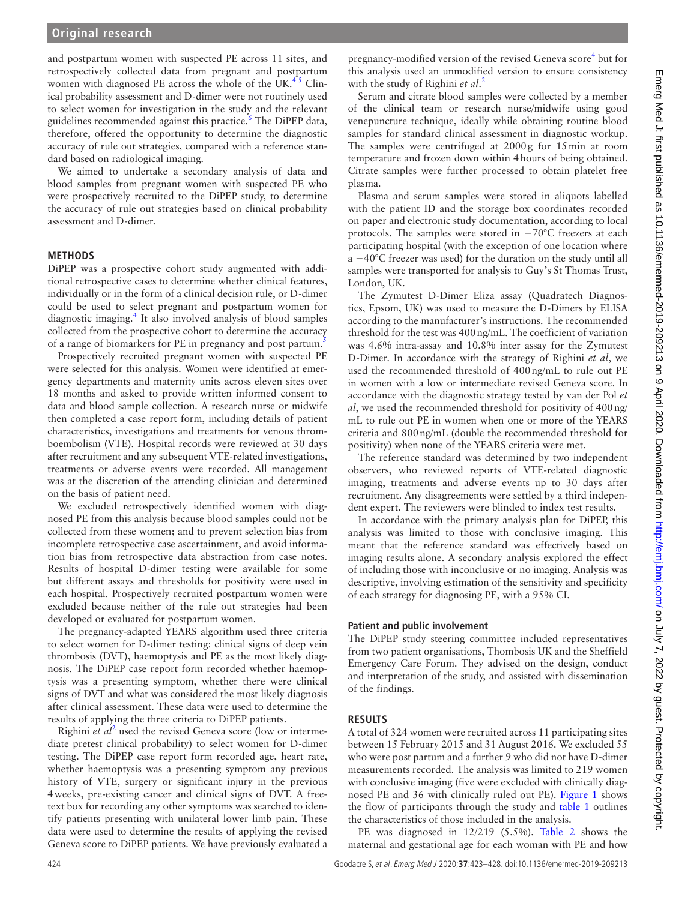and postpartum women with suspected PE across 11 sites, and retrospectively collected data from pregnant and postpartum women with diagnosed PE across the whole of the UK $^{4.5}$  Clinical probability assessment and D-dimer were not routinely used to select women for investigation in the study and the relevant guidelines recommended against this practice.<sup>[6](#page-5-4)</sup> The DiPEP data, therefore, offered the opportunity to determine the diagnostic accuracy of rule out strategies, compared with a reference standard based on radiological imaging.

We aimed to undertake a secondary analysis of data and blood samples from pregnant women with suspected PE who were prospectively recruited to the DiPEP study, to determine the accuracy of rule out strategies based on clinical probability assessment and D-dimer.

#### **Methods**

DiPEP was a prospective cohort study augmented with additional retrospective cases to determine whether clinical features, individually or in the form of a clinical decision rule, or D-dimer could be used to select pregnant and postpartum women for diagnostic imaging[.4](#page-5-3) It also involved analysis of blood samples collected from the prospective cohort to determine the accuracy of a range of biomarkers for PE in pregnancy and post partum.<sup>[5](#page-5-5)</sup>

Prospectively recruited pregnant women with suspected PE were selected for this analysis. Women were identified at emergency departments and maternity units across eleven sites over 18 months and asked to provide written informed consent to data and blood sample collection. A research nurse or midwife then completed a case report form, including details of patient characteristics, investigations and treatments for venous thromboembolism (VTE). Hospital records were reviewed at 30 days after recruitment and any subsequent VTE-related investigations, treatments or adverse events were recorded. All management was at the discretion of the attending clinician and determined on the basis of patient need.

We excluded retrospectively identified women with diagnosed PE from this analysis because blood samples could not be collected from these women; and to prevent selection bias from incomplete retrospective case ascertainment, and avoid information bias from retrospective data abstraction from case notes. Results of hospital D-dimer testing were available for some but different assays and thresholds for positivity were used in each hospital. Prospectively recruited postpartum women were excluded because neither of the rule out strategies had been developed or evaluated for postpartum women.

The pregnancy-adapted YEARS algorithm used three criteria to select women for D-dimer testing: clinical signs of deep vein thrombosis (DVT), haemoptysis and PE as the most likely diagnosis. The DiPEP case report form recorded whether haemoptysis was a presenting symptom, whether there were clinical signs of DVT and what was considered the most likely diagnosis after clinical assessment. These data were used to determine the results of applying the three criteria to DiPEP patients.

Righini *et al*<sup>[2](#page-5-1)</sup> used the revised Geneva score (low or intermediate pretest clinical probability) to select women for D-dimer testing. The DiPEP case report form recorded age, heart rate, whether haemoptysis was a presenting symptom any previous history of VTE, surgery or significant injury in the previous 4weeks, pre-existing cancer and clinical signs of DVT. A freetext box for recording any other symptoms was searched to identify patients presenting with unilateral lower limb pain. These data were used to determine the results of applying the revised Geneva score to DiPEP patients. We have previously evaluated a pregnancy-modified version of the revised Geneva score<sup>[4](#page-5-3)</sup> but for this analysis used an unmodified version to ensure consistency with the study of Righini *et al*. [2](#page-5-1)

Serum and citrate blood samples were collected by a member of the clinical team or research nurse/midwife using good venepuncture technique, ideally while obtaining routine blood samples for standard clinical assessment in diagnostic workup. The samples were centrifuged at 2000g for 15min at room temperature and frozen down within 4hours of being obtained. Citrate samples were further processed to obtain platelet free plasma.

Plasma and serum samples were stored in aliquots labelled with the patient ID and the storage box coordinates recorded on paper and electronic study documentation, according to local protocols. The samples were stored in −70°C freezers at each participating hospital (with the exception of one location where a −40°C freezer was used) for the duration on the study until all samples were transported for analysis to Guy's St Thomas Trust, London, UK.

The Zymutest D-Dimer Eliza assay (Quadratech Diagnostics, Epsom, UK) was used to measure the D-Dimers by ELISA according to the manufacturer's instructions. The recommended threshold for the test was 400ng/mL. The coefficient of variation was 4.6% intra-assay and 10.8% inter assay for the Zymutest D-Dimer. In accordance with the strategy of Righini *et al*, we used the recommended threshold of 400ng/mL to rule out PE in women with a low or intermediate revised Geneva score. In accordance with the diagnostic strategy tested by van der Pol *et al*, we used the recommended threshold for positivity of 400ng/ mL to rule out PE in women when one or more of the YEARS criteria and 800ng/mL (double the recommended threshold for positivity) when none of the YEARS criteria were met.

The reference standard was determined by two independent observers, who reviewed reports of VTE-related diagnostic imaging, treatments and adverse events up to 30 days after recruitment. Any disagreements were settled by a third independent expert. The reviewers were blinded to index test results.

In accordance with the primary analysis plan for DiPEP, this analysis was limited to those with conclusive imaging. This meant that the reference standard was effectively based on imaging results alone. A secondary analysis explored the effect of including those with inconclusive or no imaging. Analysis was descriptive, involving estimation of the sensitivity and specificity of each strategy for diagnosing PE, with a 95% CI.

#### **Patient and public involvement**

The DiPEP study steering committee included representatives from two patient organisations, Thombosis UK and the Sheffield Emergency Care Forum. They advised on the design, conduct and interpretation of the study, and assisted with dissemination of the findings.

#### **Results**

A total of 324 women were recruited across 11 participating sites between 15 February 2015 and 31 August 2016. We excluded 55 who were post partum and a further 9 who did not have D-dimer measurements recorded. The analysis was limited to 219 women with conclusive imaging (five were excluded with clinically diagnosed PE and 36 with clinically ruled out PE). [Figure](#page-2-0) 1 shows the flow of participants through the study and [table](#page-2-1) 1 outlines the characteristics of those included in the analysis.

PE was diagnosed in 12/219 (5.5%). [Table](#page-3-0) 2 shows the maternal and gestational age for each woman with PE and how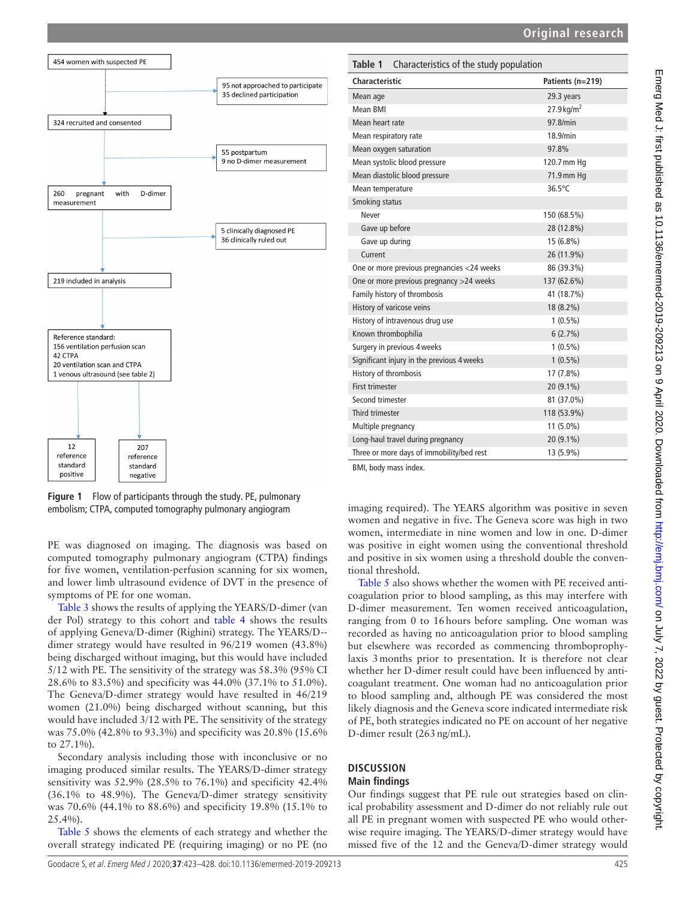

<span id="page-2-0"></span>**Figure 1** Flow of participants through the study. PE, pulmonary embolism; CTPA, computed tomography pulmonary angiogram

PE was diagnosed on imaging. The diagnosis was based on computed tomography pulmonary angiogram (CTPA) findings for five women, ventilation-perfusion scanning for six women, and lower limb ultrasound evidence of DVT in the presence of symptoms of PE for one woman.

[Table](#page-3-1) 3 shows the results of applying the YEARS/D-dimer (van der Pol) strategy to this cohort and [table](#page-3-2) 4 shows the results of applying Geneva/D-dimer (Righini) strategy. The YEARS/D- dimer strategy would have resulted in 96/219 women (43.8%) being discharged without imaging, but this would have included 5/12 with PE. The sensitivity of the strategy was 58.3% (95% CI 28.6% to 83.5%) and specificity was 44.0% (37.1% to 51.0%). The Geneva/D-dimer strategy would have resulted in 46/219 women (21.0%) being discharged without scanning, but this would have included 3/12 with PE. The sensitivity of the strategy was 75.0% (42.8% to 93.3%) and specificity was 20.8% (15.6% to 27.1%).

Secondary analysis including those with inconclusive or no imaging produced similar results. The YEARS/D-dimer strategy sensitivity was 52.9% (28.5% to 76.1%) and specificity 42.4% (36.1% to 48.9%). The Geneva/D-dimer strategy sensitivity was 70.6% (44.1% to 88.6%) and specificity 19.8% (15.1% to 25.4%).

[Table](#page-4-0) 5 shows the elements of each strategy and whether the overall strategy indicated PE (requiring imaging) or no PE (no

<span id="page-2-1"></span>

| <b>Rapic T</b> Characteristics of the study population |                          |  |  |  |
|--------------------------------------------------------|--------------------------|--|--|--|
| Characteristic                                         | Patients (n=219)         |  |  |  |
| Mean age                                               | 29.3 years               |  |  |  |
| Mean BMI                                               | $27.9 \,\mathrm{kg/m^2}$ |  |  |  |
| Mean heart rate                                        | 97.8/min                 |  |  |  |
| Mean respiratory rate                                  | $18.9$ /min              |  |  |  |
| Mean oxygen saturation                                 | 97.8%                    |  |  |  |
| Mean systolic blood pressure                           | 120.7 mm Hq              |  |  |  |
| Mean diastolic blood pressure                          | 71.9 mm Hq               |  |  |  |
| Mean temperature                                       | 36.5°C                   |  |  |  |
| Smoking status                                         |                          |  |  |  |
| Never                                                  | 150 (68.5%)              |  |  |  |
| Gave up before                                         | 28 (12.8%)               |  |  |  |
| Gave up during                                         | 15 (6.8%)                |  |  |  |
| Current                                                | 26 (11.9%)               |  |  |  |
| One or more previous pregnancies <24 weeks             | 86 (39.3%)               |  |  |  |
| One or more previous pregnancy >24 weeks               | 137 (62.6%)              |  |  |  |
| Family history of thrombosis                           | 41 (18.7%)               |  |  |  |
| History of varicose veins                              | 18 (8.2%)                |  |  |  |
| History of intravenous drug use                        | $1(0.5\%)$               |  |  |  |
| Known thrombophilia                                    | 6(2.7%)                  |  |  |  |
| Surgery in previous 4 weeks                            | $1(0.5\%)$               |  |  |  |
| Significant injury in the previous 4 weeks             | $1(0.5\%)$               |  |  |  |
| History of thrombosis                                  | 17 (7.8%)                |  |  |  |
| <b>First trimester</b>                                 | 20 (9.1%)                |  |  |  |
| Second trimester                                       | 81 (37.0%)               |  |  |  |
| Third trimester                                        | 118 (53.9%)              |  |  |  |
| Multiple pregnancy                                     | 11 (5.0%)                |  |  |  |
| Long-haul travel during pregnancy                      | 20 (9.1%)                |  |  |  |
| Three or more days of immobility/bed rest              | 13 (5.9%)                |  |  |  |
| DMI hady maccindov                                     |                          |  |  |  |

BMI, body mass index.

imaging required). The YEARS algorithm was positive in seven women and negative in five. The Geneva score was high in two women, intermediate in nine women and low in one. D-dimer was positive in eight women using the conventional threshold and positive in six women using a threshold double the conventional threshold.

[Table](#page-4-0) 5 also shows whether the women with PE received anticoagulation prior to blood sampling, as this may interfere with D-dimer measurement. Ten women received anticoagulation, ranging from 0 to 16hours before sampling. One woman was recorded as having no anticoagulation prior to blood sampling but elsewhere was recorded as commencing thromboprophylaxis 3months prior to presentation. It is therefore not clear whether her D-dimer result could have been influenced by anticoagulant treatment. One woman had no anticoagulation prior to blood sampling and, although PE was considered the most likely diagnosis and the Geneva score indicated intermediate risk of PE, both strategies indicated no PE on account of her negative D-dimer result (263ng/mL).

## **Discussion**

#### **Main findings**

Our findings suggest that PE rule out strategies based on clinical probability assessment and D-dimer do not reliably rule out all PE in pregnant women with suspected PE who would otherwise require imaging. The YEARS/D-dimer strategy would have missed five of the 12 and the Geneva/D-dimer strategy would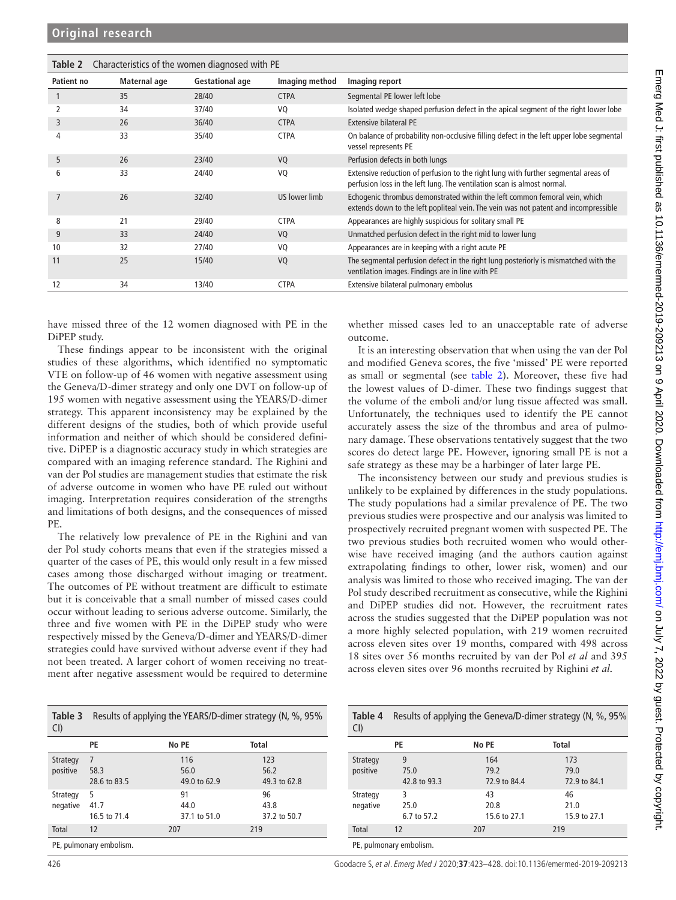<span id="page-3-0"></span>

| Table 2    | Characteristics of the women diagnosed with PE |                        |                |                                                                                                                                                                   |  |  |
|------------|------------------------------------------------|------------------------|----------------|-------------------------------------------------------------------------------------------------------------------------------------------------------------------|--|--|
| Patient no | Maternal age                                   | <b>Gestational age</b> | Imaging method | Imaging report                                                                                                                                                    |  |  |
|            | 35                                             | 28/40                  | <b>CTPA</b>    | Segmental PE lower left lobe                                                                                                                                      |  |  |
|            | 34                                             | 37/40                  | VQ             | Isolated wedge shaped perfusion defect in the apical segment of the right lower lobe                                                                              |  |  |
| 3          | 26                                             | 36/40                  | <b>CTPA</b>    | <b>Extensive bilateral PE</b>                                                                                                                                     |  |  |
| 4          | 33                                             | 35/40                  | <b>CTPA</b>    | On balance of probability non-occlusive filling defect in the left upper lobe segmental<br>vessel represents PE                                                   |  |  |
| 5          | 26                                             | 23/40                  | VQ             | Perfusion defects in both lungs                                                                                                                                   |  |  |
| 6          | 33                                             | 24/40                  | VQ             | Extensive reduction of perfusion to the right lung with further segmental areas of<br>perfusion loss in the left lung. The ventilation scan is almost normal.     |  |  |
| 7          | 26                                             | 32/40                  | US lower limb  | Echogenic thrombus demonstrated within the left common femoral vein, which<br>extends down to the left popliteal vein. The vein was not patent and incompressible |  |  |
| 8          | 21                                             | 29/40                  | <b>CTPA</b>    | Appearances are highly suspicious for solitary small PE                                                                                                           |  |  |
| 9          | 33                                             | 24/40                  | VQ             | Unmatched perfusion defect in the right mid to lower lung                                                                                                         |  |  |
| 10         | 32                                             | 27/40                  | VQ             | Appearances are in keeping with a right acute PE                                                                                                                  |  |  |
| 11         | 25                                             | 15/40                  | VQ             | The segmental perfusion defect in the right lung posteriorly is mismatched with the<br>ventilation images. Findings are in line with PE                           |  |  |
| 12         | 34                                             | 13/40                  | <b>CTPA</b>    | Extensive bilateral pulmonary embolus                                                                                                                             |  |  |

have missed three of the 12 women diagnosed with PE in the DiPEP study.

These findings appear to be inconsistent with the original studies of these algorithms, which identified no symptomatic VTE on follow-up of 46 women with negative assessment using the Geneva/D-dimer strategy and only one DVT on follow-up of 195 women with negative assessment using the YEARS/D-dimer strategy. This apparent inconsistency may be explained by the different designs of the studies, both of which provide useful information and neither of which should be considered definitive. DiPEP is a diagnostic accuracy study in which strategies are compared with an imaging reference standard. The Righini and van der Pol studies are management studies that estimate the risk of adverse outcome in women who have PE ruled out without imaging. Interpretation requires consideration of the strengths and limitations of both designs, and the consequences of missed PE.

The relatively low prevalence of PE in the Righini and van der Pol study cohorts means that even if the strategies missed a quarter of the cases of PE, this would only result in a few missed cases among those discharged without imaging or treatment. The outcomes of PE without treatment are difficult to estimate but it is conceivable that a small number of missed cases could occur without leading to serious adverse outcome. Similarly, the three and five women with PE in the DiPEP study who were respectively missed by the Geneva/D-dimer and YEARS/D-dimer strategies could have survived without adverse event if they had not been treated. A larger cohort of women receiving no treatment after negative assessment would be required to determine

whether missed cases led to an unacceptable rate of adverse outcome.

It is an interesting observation that when using the van der Pol and modified Geneva scores, the five 'missed' PE were reported as small or segmental (see [table](#page-3-0) 2). Moreover, these five had the lowest values of D-dimer. These two findings suggest that the volume of the emboli and/or lung tissue affected was small. Unfortunately, the techniques used to identify the PE cannot accurately assess the size of the thrombus and area of pulmonary damage. These observations tentatively suggest that the two scores do detect large PE. However, ignoring small PE is not a safe strategy as these may be a harbinger of later large PE.

The inconsistency between our study and previous studies is unlikely to be explained by differences in the study populations. The study populations had a similar prevalence of PE. The two previous studies were prospective and our analysis was limited to prospectively recruited pregnant women with suspected PE. The two previous studies both recruited women who would otherwise have received imaging (and the authors caution against extrapolating findings to other, lower risk, women) and our analysis was limited to those who received imaging. The van der Pol study described recruitment as consecutive, while the Righini and DiPEP studies did not. However, the recruitment rates across the studies suggested that the DiPEP population was not a more highly selected population, with 219 women recruited across eleven sites over 19 months, compared with 498 across 18 sites over 56 months recruited by van der Pol *et al* and 395 across eleven sites over 96 months recruited by Righini *et al.*

<span id="page-3-1"></span>

| Table 3<br>CI)          | Results of applying the YEARS/D-dimer strategy (N, %, 95% |                             |                             |  |  |
|-------------------------|-----------------------------------------------------------|-----------------------------|-----------------------------|--|--|
|                         | PE                                                        | No PE                       | <b>Total</b>                |  |  |
| Strategy<br>positive    | 7<br>58.3<br>28.6 to 83.5                                 | 116<br>56.0<br>49.0 to 62.9 | 123<br>56.2<br>49.3 to 62.8 |  |  |
| Strategy<br>negative    | 5<br>41.7<br>16.5 to 71.4                                 | 91<br>44.0<br>37.1 to 51.0  | 96<br>43.8<br>37.2 to 50.7  |  |  |
| Total                   | 12                                                        | 207                         | 219                         |  |  |
| PE, pulmonary embolism. |                                                           |                             |                             |  |  |

<span id="page-3-2"></span>

| Table 4<br>CI           | Results of applying the Geneva/D-dimer strategy (N, %, 95% |                             |                             |  |  |
|-------------------------|------------------------------------------------------------|-----------------------------|-----------------------------|--|--|
|                         | PE                                                         | No PE                       | <b>Total</b>                |  |  |
| Strategy<br>positive    | 9<br>75.0<br>42.8 to 93.3                                  | 164<br>79.2<br>72.9 to 84.4 | 173<br>79.0<br>72.9 to 84.1 |  |  |
| Strategy<br>negative    | 3<br>25.0<br>6.7 to 57.2                                   | 43<br>20.8<br>15.6 to 27.1  | 46<br>21.0<br>15.9 to 27.1  |  |  |
| Total                   | 12                                                         | 207                         | 219                         |  |  |
| PE, pulmonary embolism. |                                                            |                             |                             |  |  |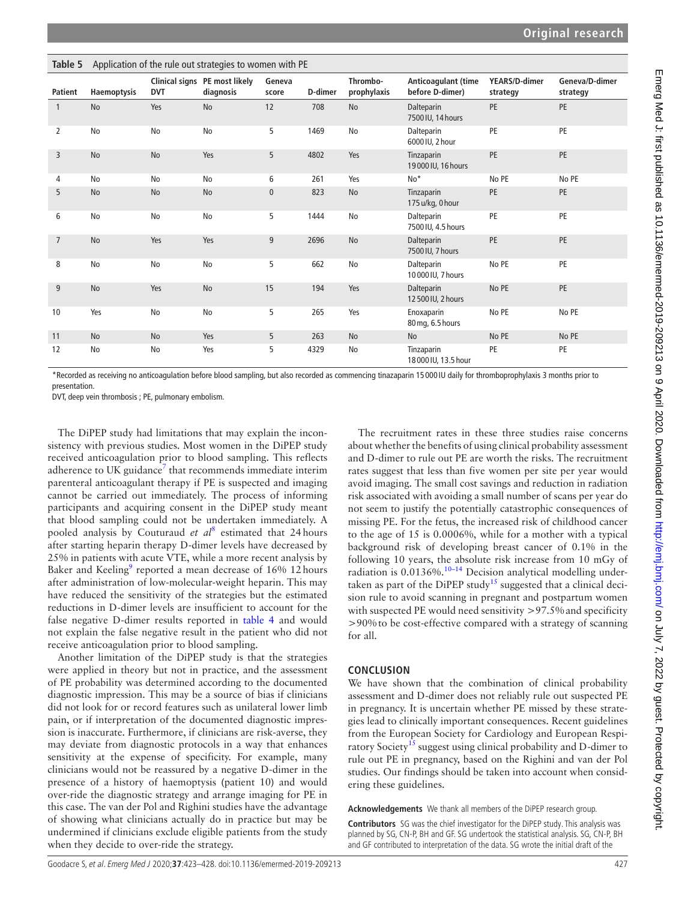<span id="page-4-0"></span>

| Table 5         |             | Application of the rule out strategies to women with PE |                                            |                 |         |                         |                                               |                                  |                            |
|-----------------|-------------|---------------------------------------------------------|--------------------------------------------|-----------------|---------|-------------------------|-----------------------------------------------|----------------------------------|----------------------------|
| <b>Patient</b>  | Haemoptysis | <b>DVT</b>                                              | Clinical signs PE most likely<br>diagnosis | Geneva<br>score | D-dimer | Thrombo-<br>prophylaxis | <b>Anticoagulant (time</b><br>before D-dimer) | <b>YEARS/D-dimer</b><br>strategy | Geneva/D-dimer<br>strategy |
| 1               | No          | Yes                                                     | No                                         | 12              | 708     | No                      | Dalteparin<br>7500 IU, 14 hours               | PE                               | PE                         |
| $\overline{2}$  | No          | No                                                      | No                                         | 5               | 1469    | No                      | Dalteparin<br>6000 IU, 2 hour                 | PE                               | PE                         |
| 3               | No          | No                                                      | Yes                                        | 5               | 4802    | Yes                     | Tinzaparin<br>19000 IU, 16 hours              | PE                               | PE                         |
| 4               | No          | No                                                      | <b>No</b>                                  | 6               | 261     | Yes                     | $No*$                                         | No PE                            | No PE                      |
| 5               | No          | No                                                      | No                                         | 0               | 823     | No                      | Tinzaparin<br>175 u/kg, 0 hour                | PE                               | PE                         |
| 6               | No          | No                                                      | <b>No</b>                                  | 5               | 1444    | No                      | Dalteparin<br>7500 IU, 4.5 hours              | PE                               | PE                         |
| $7\overline{ }$ | <b>No</b>   | Yes                                                     | Yes                                        | 9               | 2696    | <b>No</b>               | Dalteparin<br>7500 IU, 7 hours                | PE                               | PE                         |
| 8               | No          | No                                                      | <b>No</b>                                  | 5               | 662     | No                      | Dalteparin<br>10 000 IU, 7 hours              | No PE                            | PE                         |
| 9               | <b>No</b>   | Yes                                                     | No                                         | 15              | 194     | Yes                     | Dalteparin<br>12 500 IU, 2 hours              | No PE                            | PE                         |
| 10              | Yes         | No                                                      | No                                         | 5               | 265     | Yes                     | Enoxaparin<br>80 mg, 6.5 hours                | No PE                            | No PE                      |
| 11              | <b>No</b>   | No                                                      | Yes                                        | 5               | 263     | <b>No</b>               | <b>No</b>                                     | No PE                            | No PE                      |
| 12              | No          | No                                                      | Yes                                        | 5               | 4329    | No                      | Tinzaparin<br>18 000 IU, 13.5 hour            | PE                               | PE                         |

\*Recorded as receiving no anticoagulation before blood sampling, but also recorded as commencing tinazaparin 15 000 IU daily for thromboprophylaxis 3 months prior to presentation.

DVT, deep vein thrombosis ; PE, pulmonary embolism.

The DiPEP study had limitations that may explain the inconsistency with previous studies. Most women in the DiPEP study received anticoagulation prior to blood sampling. This reflects adherence to UK guidance $^7$  $^7$  that recommends immediate interim parenteral anticoagulant therapy if PE is suspected and imaging cannot be carried out immediately. The process of informing participants and acquiring consent in the DiPEP study meant that blood sampling could not be undertaken immediately. A pooled analysis by Couturaud *et al*[8](#page-5-7) estimated that 24hours after starting heparin therapy D-dimer levels have decreased by 25% in patients with acute VTE, while a more recent analysis by Baker and Keeling<sup>[9](#page-5-8)</sup> reported a mean decrease of 16% 12 hours after administration of low-molecular-weight heparin. This may have reduced the sensitivity of the strategies but the estimated reductions in D-dimer levels are insufficient to account for the false negative D-dimer results reported in [table](#page-3-2) 4 and would not explain the false negative result in the patient who did not receive anticoagulation prior to blood sampling.

Another limitation of the DiPEP study is that the strategies were applied in theory but not in practice, and the assessment of PE probability was determined according to the documented diagnostic impression. This may be a source of bias if clinicians did not look for or record features such as unilateral lower limb pain, or if interpretation of the documented diagnostic impression is inaccurate. Furthermore, if clinicians are risk-averse, they may deviate from diagnostic protocols in a way that enhances sensitivity at the expense of specificity. For example, many clinicians would not be reassured by a negative D-dimer in the presence of a history of haemoptysis (patient 10) and would over-ride the diagnostic strategy and arrange imaging for PE in this case. The van der Pol and Righini studies have the advantage of showing what clinicians actually do in practice but may be undermined if clinicians exclude eligible patients from the study when they decide to over-ride the strategy.

The recruitment rates in these three studies raise concerns about whether the benefits of using clinical probability assessment and D-dimer to rule out PE are worth the risks. The recruitment rates suggest that less than five women per site per year would avoid imaging. The small cost savings and reduction in radiation risk associated with avoiding a small number of scans per year do not seem to justify the potentially catastrophic consequences of missing PE. For the fetus, the increased risk of childhood cancer to the age of 15 is 0.0006%, while for a mother with a typical background risk of developing breast cancer of 0.1% in the following 10 years, the absolute risk increase from 10 mGy of radiation is  $0.0136\%$ .<sup>10-14</sup> Decision analytical modelling undertaken as part of the DiPEP study<sup>15</sup> suggested that a clinical decision rule to avoid scanning in pregnant and postpartum women with suspected PE would need sensitivity >97.5% and specificity >90%to be cost-effective compared with a strategy of scanning for all.

#### **Conclusion**

We have shown that the combination of clinical probability assessment and D-dimer does not reliably rule out suspected PE in pregnancy. It is uncertain whether PE missed by these strategies lead to clinically important consequences. Recent guidelines from the European Society for Cardiology and European Respiratory Society<sup>15</sup> suggest using clinical probability and D-dimer to rule out PE in pregnancy, based on the Righini and van der Pol studies. Our findings should be taken into account when considering these guidelines.

**Acknowledgements** We thank all members of the DiPEP research group.

**Contributors** SG was the chief investigator for the DiPEP study. This analysis was planned by SG, CN-P, BH and GF. SG undertook the statistical analysis. SG, CN-P, BH and GF contributed to interpretation of the data. SG wrote the initial draft of the